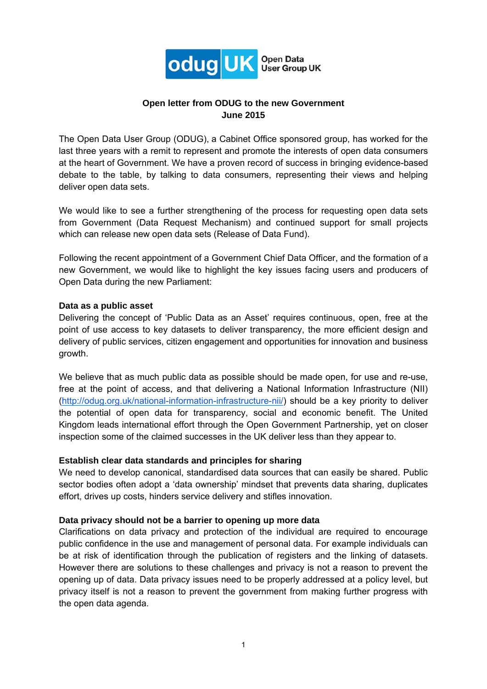

# **Open letter from ODUG to the new Government June 2015**

The Open Data User Group (ODUG), a Cabinet Office sponsored group, has worked for the last three years with a remit to represent and promote the interests of open data consumers at the heart of Government. We have a proven record of success in bringing evidence-based debate to the table, by talking to data consumers, representing their views and helping deliver open data sets.

We would like to see a further strengthening of the process for requesting open data sets from Government (Data Request Mechanism) and continued support for small projects which can release new open data sets (Release of Data Fund).

Following the recent appointment of a Government Chief Data Officer, and the formation of a new Government, we would like to highlight the key issues facing users and producers of Open Data during the new Parliament:

#### **Data as a public asset**

Delivering the concept of 'Public Data as an Asset' requires continuous, open, free at the point of use access to key datasets to deliver transparency, the more efficient design and delivery of public services, citizen engagement and opportunities for innovation and business growth.

We believe that as much public data as possible should be made open, for use and re-use, free at the point of access, and that delivering a National Information Infrastructure (NII) (http://odug.org.uk/national-information-infrastructure-nii/) should be a key priority to deliver the potential of open data for transparency, social and economic benefit. The United Kingdom leads international effort through the Open Government Partnership, yet on closer inspection some of the claimed successes in the UK deliver less than they appear to.

## **Establish clear data standards and principles for sharing**

We need to develop canonical, standardised data sources that can easily be shared. Public sector bodies often adopt a 'data ownership' mindset that prevents data sharing, duplicates effort, drives up costs, hinders service delivery and stifles innovation.

### **Data privacy should not be a barrier to opening up more data**

Clarifications on data privacy and protection of the individual are required to encourage public confidence in the use and management of personal data. For example individuals can be at risk of identification through the publication of registers and the linking of datasets. However there are solutions to these challenges and privacy is not a reason to prevent the opening up of data. Data privacy issues need to be properly addressed at a policy level, but privacy itself is not a reason to prevent the government from making further progress with the open data agenda.